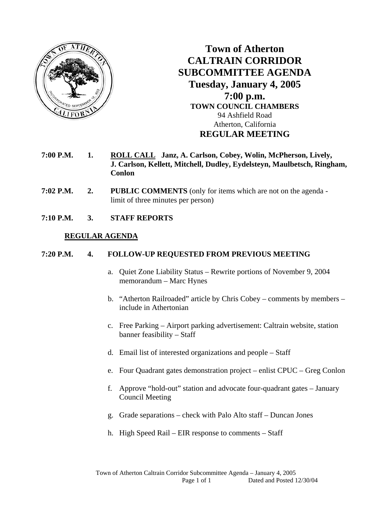

**Town of Atherton CALTRAIN CORRIDOR SUBCOMMITTEE AGENDA Tuesday, January 4, 2005 7:00 p.m. TOWN COUNCIL CHAMBERS**  94 Ashfield Road Atherton, California **REGULAR MEETING** 

- **7:00 P.M. 1. ROLL CALL Janz, A. Carlson, Cobey, Wolin, McPherson, Lively, J. Carlson, Kellett, Mitchell, Dudley, Eydelsteyn, Maulbetsch, Ringham, Conlon**
- **7:02 P.M. 2. PUBLIC COMMENTS** (only for items which are not on the agenda limit of three minutes per person)
- **7:10 P.M. 3. STAFF REPORTS**

## **REGULAR AGENDA**

## **7:20 P.M. 4. FOLLOW-UP REQUESTED FROM PREVIOUS MEETING**

- a. Quiet Zone Liability Status Rewrite portions of November 9, 2004 memorandum – Marc Hynes
- b. "Atherton Railroaded" article by Chris Cobey comments by members include in Athertonian
- c. Free Parking Airport parking advertisement: Caltrain website, station banner feasibility – Staff
- d. Email list of interested organizations and people Staff
- e. Four Quadrant gates demonstration project enlist CPUC Greg Conlon
- f. Approve "hold-out" station and advocate four-quadrant gates January Council Meeting
- g. Grade separations check with Palo Alto staff Duncan Jones
- h. High Speed Rail EIR response to comments Staff